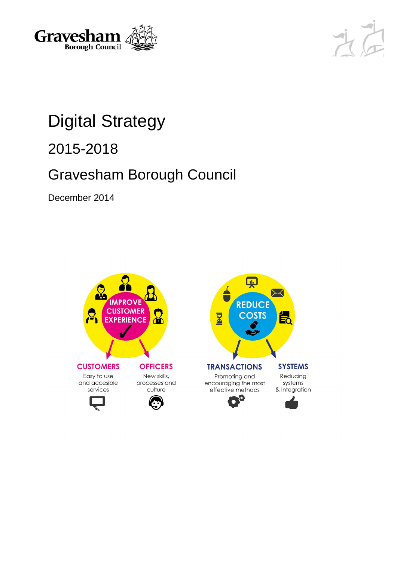



# Digital Strategy

2015-2018

## Gravesham Borough Council

December 2014

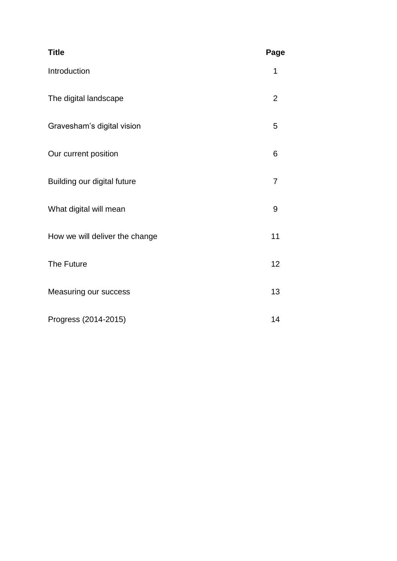| <b>Title</b>                   | Page           |
|--------------------------------|----------------|
| Introduction                   | 1              |
| The digital landscape          | $\overline{2}$ |
| Gravesham's digital vision     | 5              |
| Our current position           | 6              |
| Building our digital future    | $\overline{7}$ |
| What digital will mean         | 9              |
| How we will deliver the change | 11             |
| The Future                     | 12             |
| Measuring our success          | 13             |
| Progress (2014-2015)           | 14             |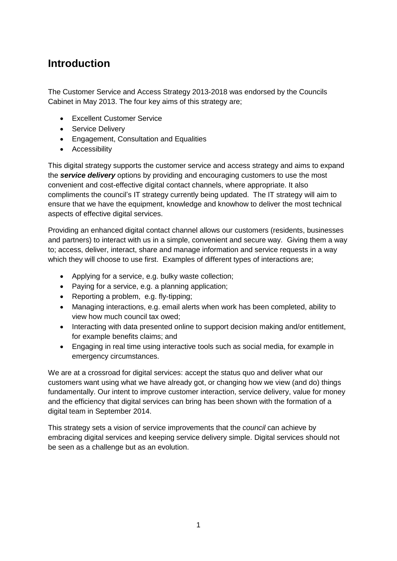### **Introduction**

The Customer Service and Access Strategy 2013-2018 was endorsed by the Councils Cabinet in May 2013. The four key aims of this strategy are;

- Excellent Customer Service
- Service Delivery
- Engagement, Consultation and Equalities
- **•** Accessibility

This digital strategy supports the customer service and access strategy and aims to expand the *service delivery* options by providing and encouraging customers to use the most convenient and cost-effective digital contact channels, where appropriate. It also compliments the council's IT strategy currently being updated. The IT strategy will aim to ensure that we have the equipment, knowledge and knowhow to deliver the most technical aspects of effective digital services.

Providing an enhanced digital contact channel allows our customers (residents, businesses and partners) to interact with us in a simple, convenient and secure way. Giving them a way to; access, deliver, interact, share and manage information and service requests in a way which they will choose to use first. Examples of different types of interactions are;

- Applying for a service, e.g. bulky waste collection;
- Paying for a service, e.g. a planning application;
- Reporting a problem, e.g. fly-tipping;
- Managing interactions, e.g. email alerts when work has been completed, ability to view how much council tax owed;
- Interacting with data presented online to support decision making and/or entitlement, for example benefits claims; and
- Engaging in real time using interactive tools such as social media, for example in emergency circumstances.

We are at a crossroad for digital services: accept the status quo and deliver what our customers want using what we have already got, or changing how we view (and do) things fundamentally. Our intent to improve customer interaction, service delivery, value for money and the efficiency that digital services can bring has been shown with the formation of a digital team in September 2014.

This strategy sets a vision of service improvements that the *council* can achieve by embracing digital services and keeping service delivery simple. Digital services should not be seen as a challenge but as an evolution.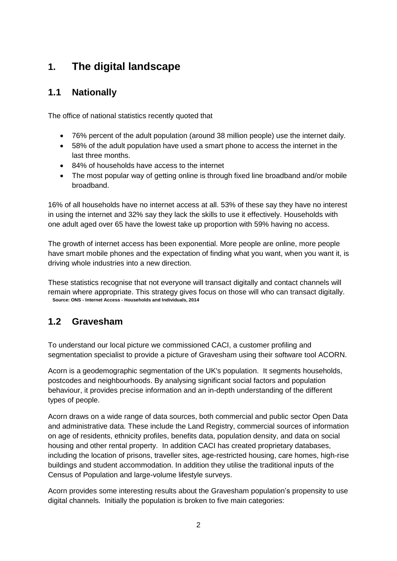### **1. The digital landscape**

### **1.1 Nationally**

The office of national statistics recently quoted that

- 76% percent of the adult population (around 38 million people) use the internet daily.
- 58% of the adult population have used a smart phone to access the internet in the last three months.
- 84% of households have access to the internet
- The most popular way of getting online is through fixed line broadband and/or mobile broadband.

16% of all households have no internet access at all. 53% of these say they have no interest in using the internet and 32% say they lack the skills to use it effectively. Households with one adult aged over 65 have the lowest take up proportion with 59% having no access.

The growth of internet access has been exponential. More people are online, more people have smart mobile phones and the expectation of finding what you want, when you want it, is driving whole industries into a new direction.

These statistics recognise that not everyone will transact digitally and contact channels will remain where appropriate. This strategy gives focus on those will who can transact digitally. **Source: ONS - Internet Access - Households and Individuals, 2014**

### **1.2 Gravesham**

To understand our local picture we commissioned CACI, a customer profiling and segmentation specialist to provide a picture of Gravesham using their software tool ACORN.

Acorn is a geodemographic segmentation of the UK's population. It segments households, postcodes and neighbourhoods. By analysing significant social factors and population behaviour, it provides precise information and an in-depth understanding of the different types of people.

Acorn draws on a wide range of data sources, both commercial and public sector Open Data and administrative data. These include the Land Registry, commercial sources of information on age of residents, ethnicity profiles, benefits data, population density, and data on social housing and other rental property. In addition CACI has created proprietary databases, including the location of prisons, traveller sites, age-restricted housing, care homes, high-rise buildings and student accommodation. In addition they utilise the traditional inputs of the Census of Population and large-volume lifestyle surveys.

Acorn provides some interesting results about the Gravesham population's propensity to use digital channels. Initially the population is broken to five main categories: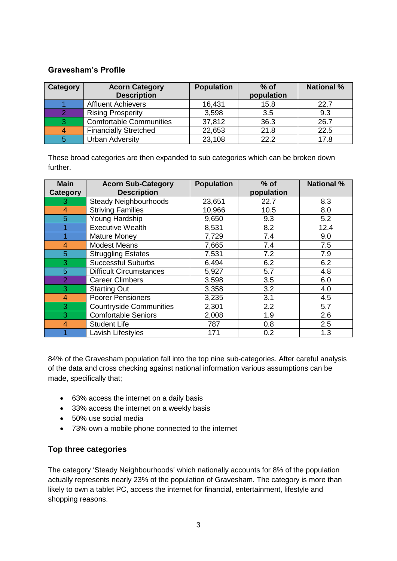### **Gravesham's Profile**

| <b>Category</b> | <b>Acorn Category</b><br><b>Description</b> | <b>Population</b> | $%$ of<br>population | <b>National %</b> |
|-----------------|---------------------------------------------|-------------------|----------------------|-------------------|
|                 | <b>Affluent Achievers</b>                   | 16,431            | 15.8                 | 22.7              |
|                 | <b>Rising Prosperity</b>                    | 3,598             | 3.5                  | 9.3               |
| 3               | <b>Comfortable Communities</b>              | 37,812            | 36.3                 | 26.7              |
| 4               | <b>Financially Stretched</b>                | 22,653            | 21.8                 | 22.5              |
| 5               | <b>Urban Adversity</b>                      | 23,108            | 22.2                 | 17.8              |

These broad categories are then expanded to sub categories which can be broken down further.

| <b>Main</b>    | <b>Acorn Sub-Category</b>      | <b>Population</b> | $%$ of     | <b>National %</b> |
|----------------|--------------------------------|-------------------|------------|-------------------|
| Category       | <b>Description</b>             |                   | population |                   |
| 3              | <b>Steady Neighbourhoods</b>   | 23,651            | 22.7       | 8.3               |
| 4              | <b>Striving Families</b>       | 10,966            | 10.5       | 8.0               |
| 5              | Young Hardship                 | 9,650             | 9.3        | 5.2               |
|                | <b>Executive Wealth</b>        | 8,531             | 8.2        | 12.4              |
|                | <b>Mature Money</b>            | 7,729             | 7.4        | 9.0               |
| 4              | <b>Modest Means</b>            | 7,665             | 7.4        | 7.5               |
| 5              | <b>Struggling Estates</b>      | 7,531             | 7.2        | 7.9               |
| 3              | <b>Successful Suburbs</b>      | 6,494             | 6.2        | 6.2               |
| 5              | <b>Difficult Circumstances</b> | 5,927             | 5.7        | 4.8               |
| $\overline{2}$ | <b>Career Climbers</b>         | 3,598             | 3.5        | 6.0               |
| 3              | <b>Starting Out</b>            | 3,358             | 3.2        | 4.0               |
| 4              | <b>Poorer Pensioners</b>       | 3,235             | 3.1        | 4.5               |
| 3              | <b>Countryside Communities</b> | 2,301             | 2.2        | 5.7               |
| 3              | <b>Comfortable Seniors</b>     | 2,008             | 1.9        | 2.6               |
| 4              | <b>Student Life</b>            | 787               | 0.8        | 2.5               |
|                | Lavish Lifestyles              | 171               | 0.2        | 1.3               |

84% of the Gravesham population fall into the top nine sub-categories. After careful analysis of the data and cross checking against national information various assumptions can be made, specifically that;

- 63% access the internet on a daily basis
- 33% access the internet on a weekly basis
- 50% use social media
- 73% own a mobile phone connected to the internet

#### **Top three categories**

The category 'Steady Neighbourhoods' which nationally accounts for 8% of the population actually represents nearly 23% of the population of Gravesham. The category is more than likely to own a tablet PC, access the internet for financial, entertainment, lifestyle and shopping reasons.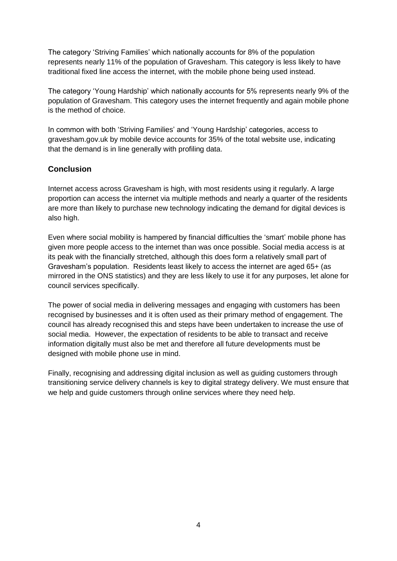The category 'Striving Families' which nationally accounts for 8% of the population represents nearly 11% of the population of Gravesham. This category is less likely to have traditional fixed line access the internet, with the mobile phone being used instead.

The category 'Young Hardship' which nationally accounts for 5% represents nearly 9% of the population of Gravesham. This category uses the internet frequently and again mobile phone is the method of choice.

In common with both 'Striving Families' and 'Young Hardship' categories, access to gravesham.gov.uk by mobile device accounts for 35% of the total website use, indicating that the demand is in line generally with profiling data.

#### **Conclusion**

Internet access across Gravesham is high, with most residents using it regularly. A large proportion can access the internet via multiple methods and nearly a quarter of the residents are more than likely to purchase new technology indicating the demand for digital devices is also high.

Even where social mobility is hampered by financial difficulties the 'smart' mobile phone has given more people access to the internet than was once possible. Social media access is at its peak with the financially stretched, although this does form a relatively small part of Gravesham's population. Residents least likely to access the internet are aged 65+ (as mirrored in the ONS statistics) and they are less likely to use it for any purposes, let alone for council services specifically.

The power of social media in delivering messages and engaging with customers has been recognised by businesses and it is often used as their primary method of engagement. The council has already recognised this and steps have been undertaken to increase the use of social media. However, the expectation of residents to be able to transact and receive information digitally must also be met and therefore all future developments must be designed with mobile phone use in mind.

Finally, recognising and addressing digital inclusion as well as guiding customers through transitioning service delivery channels is key to digital strategy delivery. We must ensure that we help and guide customers through online services where they need help.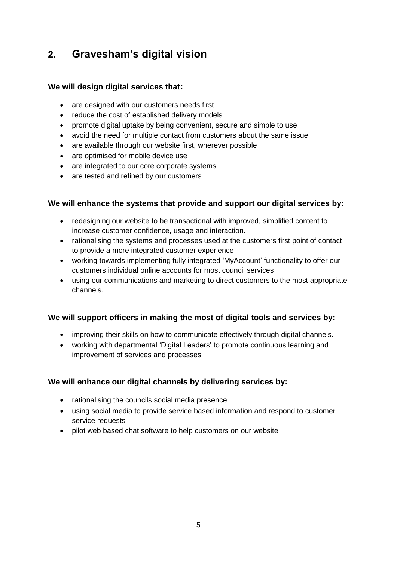### **2. Gravesham's digital vision**

#### **We will design digital services that:**

- are designed with our customers needs first
- reduce the cost of established delivery models
- promote digital uptake by being convenient, secure and simple to use
- avoid the need for multiple contact from customers about the same issue
- are available through our website first, wherever possible
- are optimised for mobile device use
- are integrated to our core corporate systems
- are tested and refined by our customers

#### **We will enhance the systems that provide and support our digital services by:**

- redesigning our website to be transactional with improved, simplified content to increase customer confidence, usage and interaction.
- rationalising the systems and processes used at the customers first point of contact to provide a more integrated customer experience
- working towards implementing fully integrated 'MyAccount' functionality to offer our customers individual online accounts for most council services
- using our communications and marketing to direct customers to the most appropriate channels.

#### **We will support officers in making the most of digital tools and services by:**

- improving their skills on how to communicate effectively through digital channels.
- working with departmental 'Digital Leaders' to promote continuous learning and improvement of services and processes

#### **We will enhance our digital channels by delivering services by:**

- rationalising the councils social media presence
- using social media to provide service based information and respond to customer service requests
- pilot web based chat software to help customers on our website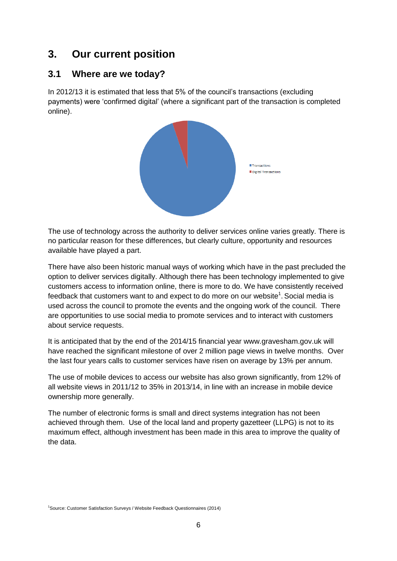### **3. Our current position**

### **3.1 Where are we today?**

In 2012/13 it is estimated that less that 5% of the council's transactions (excluding payments) were 'confirmed digital' (where a significant part of the transaction is completed online).



The use of technology across the authority to deliver services online varies greatly. There is no particular reason for these differences, but clearly culture, opportunity and resources available have played a part.

There have also been historic manual ways of working which have in the past precluded the option to deliver services digitally. Although there has been technology implemented to give customers access to information online, there is more to do. We have consistently received feedback that customers want to and expect to do more on our website<sup>1</sup>. Social media is used across the council to promote the events and the ongoing work of the council. There are opportunities to use social media to promote services and to interact with customers about service requests.

It is anticipated that by the end of the 2014/15 financial year www.gravesham.gov.uk will have reached the significant milestone of over 2 million page views in twelve months. Over the last four years calls to customer services have risen on average by 13% per annum.

The use of mobile devices to access our website has also grown significantly, from 12% of all website views in 2011/12 to 35% in 2013/14, in line with an increase in mobile device ownership more generally.

The number of electronic forms is small and direct systems integration has not been achieved through them. Use of the local land and property gazetteer (LLPG) is not to its maximum effect, although investment has been made in this area to improve the quality of the data.

<sup>1</sup>Source: Customer Satisfaction Surveys / Website Feedback Questionnaires (2014)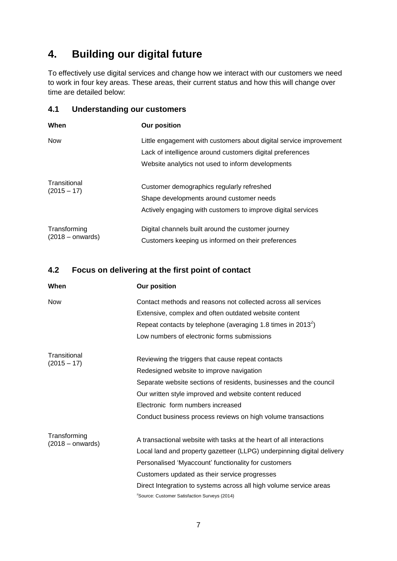### **4. Building our digital future**

To effectively use digital services and change how we interact with our customers we need to work in four key areas. These areas, their current status and how this will change over time are detailed below:

#### **4.1 Understanding our customers**

| When                               | <b>Our position</b>                                                                                                                                                                  |
|------------------------------------|--------------------------------------------------------------------------------------------------------------------------------------------------------------------------------------|
| <b>Now</b>                         | Little engagement with customers about digital service improvement<br>Lack of intelligence around customers digital preferences<br>Website analytics not used to inform developments |
| Transitional<br>$(2015 - 17)$      | Customer demographics regularly refreshed<br>Shape developments around customer needs<br>Actively engaging with customers to improve digital services                                |
| Transforming<br>$(2018 -$ onwards) | Digital channels built around the customer journey<br>Customers keeping us informed on their preferences                                                                             |

### **4.2 Focus on delivering at the first point of contact**

| When                          | <b>Our position</b>                                                      |
|-------------------------------|--------------------------------------------------------------------------|
| <b>Now</b>                    | Contact methods and reasons not collected across all services            |
|                               | Extensive, complex and often outdated website content                    |
|                               | Repeat contacts by telephone (averaging 1.8 times in 2013 <sup>2</sup> ) |
|                               | Low numbers of electronic forms submissions                              |
| Transitional<br>$(2015 - 17)$ | Reviewing the triggers that cause repeat contacts                        |
|                               | Redesigned website to improve navigation                                 |
|                               | Separate website sections of residents, businesses and the council       |
|                               | Our written style improved and website content reduced                   |
|                               | Electronic form numbers increased                                        |
|                               | Conduct business process reviews on high volume transactions             |
| Transforming                  | A transactional website with tasks at the heart of all interactions      |
| $(2018 -$ onwards)            | Local land and property gazetteer (LLPG) underpinning digital delivery   |
|                               | Personalised 'Myaccount' functionality for customers                     |
|                               | Customers updated as their service progresses                            |
|                               | Direct Integration to systems across all high volume service areas       |
|                               | <sup>2</sup> Source: Customer Satisfaction Surveys (2014)                |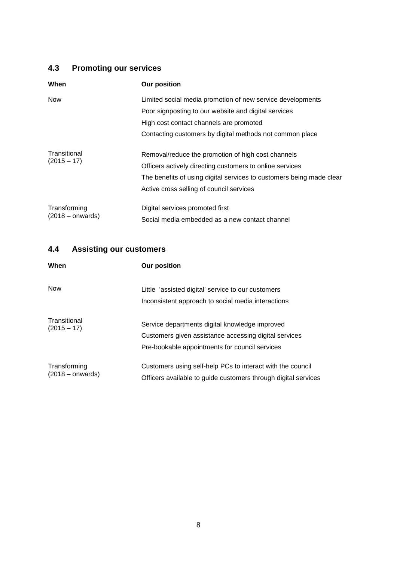### **4.3 Promoting our services**

| When                               | <b>Our position</b>                                                  |
|------------------------------------|----------------------------------------------------------------------|
| <b>Now</b>                         | Limited social media promotion of new service developments           |
|                                    | Poor signposting to our website and digital services                 |
|                                    | High cost contact channels are promoted                              |
|                                    | Contacting customers by digital methods not common place             |
| Transitional<br>$(2015 - 17)$      | Removal/reduce the promotion of high cost channels                   |
|                                    | Officers actively directing customers to online services             |
|                                    | The benefits of using digital services to customers being made clear |
|                                    | Active cross selling of council services                             |
| Transforming<br>$(2018 -$ onwards) | Digital services promoted first                                      |
|                                    | Social media embedded as a new contact channel                       |

### **4.4 Assisting our customers**

| When                               | <b>Our position</b>                                                                                                                                       |
|------------------------------------|-----------------------------------------------------------------------------------------------------------------------------------------------------------|
| <b>Now</b>                         | Little 'assisted digital' service to our customers<br>Inconsistent approach to social media interactions                                                  |
| Transitional<br>$(2015 - 17)$      | Service departments digital knowledge improved<br>Customers given assistance accessing digital services<br>Pre-bookable appointments for council services |
| Transforming<br>$(2018 -$ onwards) | Customers using self-help PCs to interact with the council<br>Officers available to guide customers through digital services                              |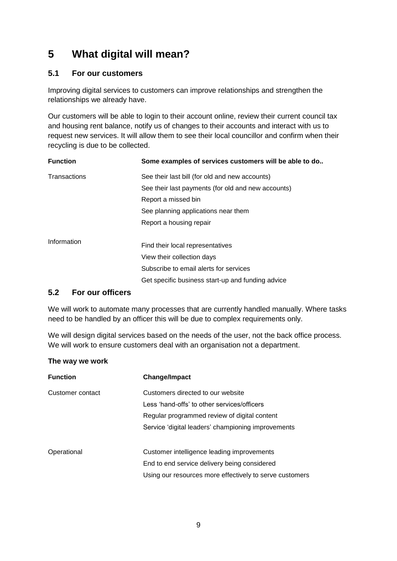### **5 What digital will mean?**

#### **5.1 For our customers**

Improving digital services to customers can improve relationships and strengthen the relationships we already have.

Our customers will be able to login to their account online, review their current council tax and housing rent balance, notify us of changes to their accounts and interact with us to request new services. It will allow them to see their local councillor and confirm when their recycling is due to be collected.

| <b>Function</b>     | Some examples of services customers will be able to do |
|---------------------|--------------------------------------------------------|
| <b>Transactions</b> | See their last bill (for old and new accounts)         |
|                     | See their last payments (for old and new accounts)     |
|                     | Report a missed bin                                    |
|                     | See planning applications near them                    |
|                     | Report a housing repair                                |
| Information         |                                                        |
|                     | Find their local representatives                       |
|                     | View their collection days                             |
|                     | Subscribe to email alerts for services                 |
|                     | Get specific business start-up and funding advice      |

#### **5.2 For our officers**

We will work to automate many processes that are currently handled manually. Where tasks need to be handled by an officer this will be due to complex requirements only.

We will design digital services based on the needs of the user, not the back office process. We will work to ensure customers deal with an organisation not a department.

#### **The way we work**

| <b>Function</b>  | <b>Change/Impact</b>                                    |
|------------------|---------------------------------------------------------|
| Customer contact | Customers directed to our website                       |
|                  | Less 'hand-offs' to other services/officers             |
|                  | Regular programmed review of digital content            |
|                  | Service 'digital leaders' championing improvements      |
| Operational      | Customer intelligence leading improvements              |
|                  | End to end service delivery being considered            |
|                  | Using our resources more effectively to serve customers |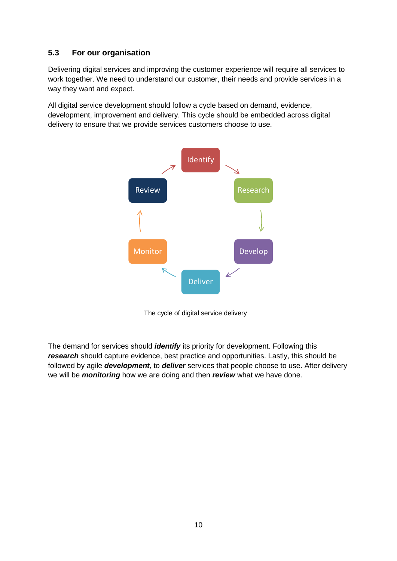### **5.3 For our organisation**

Delivering digital services and improving the customer experience will require all services to work together. We need to understand our customer, their needs and provide services in a way they want and expect.

All digital service development should follow a cycle based on demand, evidence, development, improvement and delivery. This cycle should be embedded across digital delivery to ensure that we provide services customers choose to use.



The cycle of digital service delivery

The demand for services should *identify* its priority for development. Following this *research* should capture evidence, best practice and opportunities. Lastly, this should be followed by agile *development,* to *deliver* services that people choose to use. After delivery we will be *monitoring* how we are doing and then *review* what we have done.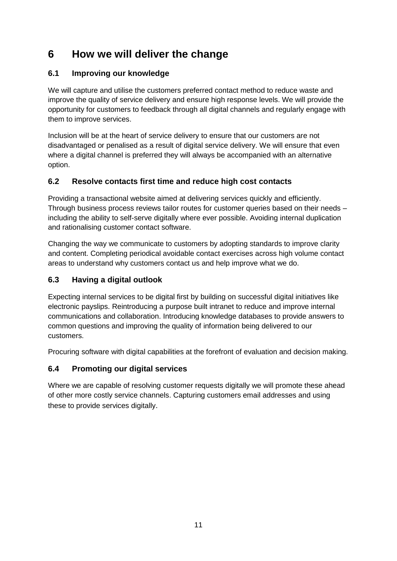### **6 How we will deliver the change**

### **6.1 Improving our knowledge**

We will capture and utilise the customers preferred contact method to reduce waste and improve the quality of service delivery and ensure high response levels. We will provide the opportunity for customers to feedback through all digital channels and regularly engage with them to improve services.

Inclusion will be at the heart of service delivery to ensure that our customers are not disadvantaged or penalised as a result of digital service delivery. We will ensure that even where a digital channel is preferred they will always be accompanied with an alternative option.

### **6.2 Resolve contacts first time and reduce high cost contacts**

Providing a transactional website aimed at delivering services quickly and efficiently. Through business process reviews tailor routes for customer queries based on their needs – including the ability to self-serve digitally where ever possible. Avoiding internal duplication and rationalising customer contact software.

Changing the way we communicate to customers by adopting standards to improve clarity and content. Completing periodical avoidable contact exercises across high volume contact areas to understand why customers contact us and help improve what we do.

### **6.3 Having a digital outlook**

Expecting internal services to be digital first by building on successful digital initiatives like electronic payslips. Reintroducing a purpose built intranet to reduce and improve internal communications and collaboration. Introducing knowledge databases to provide answers to common questions and improving the quality of information being delivered to our customers.

Procuring software with digital capabilities at the forefront of evaluation and decision making.

### **6.4 Promoting our digital services**

Where we are capable of resolving customer requests digitally we will promote these ahead of other more costly service channels. Capturing customers email addresses and using these to provide services digitally.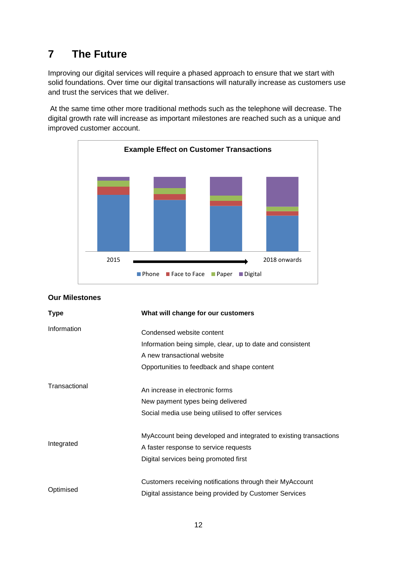### **7 The Future**

Improving our digital services will require a phased approach to ensure that we start with solid foundations. Over time our digital transactions will naturally increase as customers use and trust the services that we deliver.

At the same time other more traditional methods such as the telephone will decrease. The digital growth rate will increase as important milestones are reached such as a unique and improved customer account.



| <b>Type</b>   | What will change for our customers                                |
|---------------|-------------------------------------------------------------------|
| Information   | Condensed website content                                         |
|               | Information being simple, clear, up to date and consistent        |
|               | A new transactional website                                       |
|               | Opportunities to feedback and shape content                       |
| Transactional | An increase in electronic forms                                   |
|               | New payment types being delivered                                 |
|               | Social media use being utilised to offer services                 |
|               | MyAccount being developed and integrated to existing transactions |
| Integrated    | A faster response to service requests                             |
|               | Digital services being promoted first                             |
|               | Customers receiving notifications through their MyAccount         |
| Optimised     | Digital assistance being provided by Customer Services            |
|               |                                                                   |

### **Our Milestones**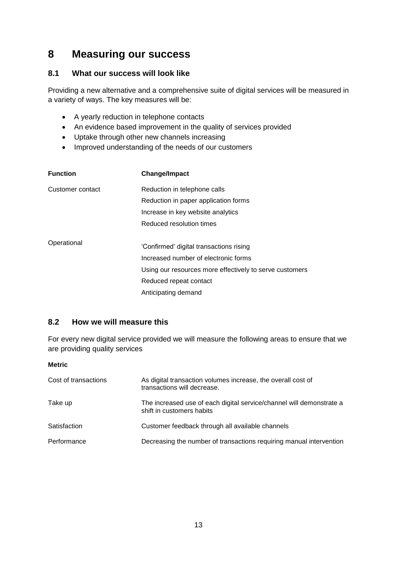### **8 Measuring our success**

#### **8.1 What our success will look like**

Providing a new alternative and a comprehensive suite of digital services will be measured in a variety of ways. The key measures will be:

- A yearly reduction in telephone contacts
- An evidence based improvement in the quality of services provided
- Uptake through other new channels increasing
- Improved understanding of the needs of our customers

| <b>Function</b>  | <b>Change/Impact</b>                                    |
|------------------|---------------------------------------------------------|
| Customer contact | Reduction in telephone calls                            |
|                  | Reduction in paper application forms                    |
|                  | Increase in key website analytics                       |
|                  | Reduced resolution times                                |
| Operational      | 'Confirmed' digital transactions rising                 |
|                  | Increased number of electronic forms                    |
|                  | Using our resources more effectively to serve customers |
|                  | Reduced repeat contact                                  |
|                  | Anticipating demand                                     |

#### **8.2 How we will measure this**

For every new digital service provided we will measure the following areas to ensure that we are providing quality services

#### **Metric**

| Cost of transactions | As digital transaction volumes increase, the overall cost of<br>transactions will decrease.       |
|----------------------|---------------------------------------------------------------------------------------------------|
| Take up              | The increased use of each digital service/channel will demonstrate a<br>shift in customers habits |
| Satisfaction         | Customer feedback through all available channels                                                  |
| Performance          | Decreasing the number of transactions requiring manual intervention                               |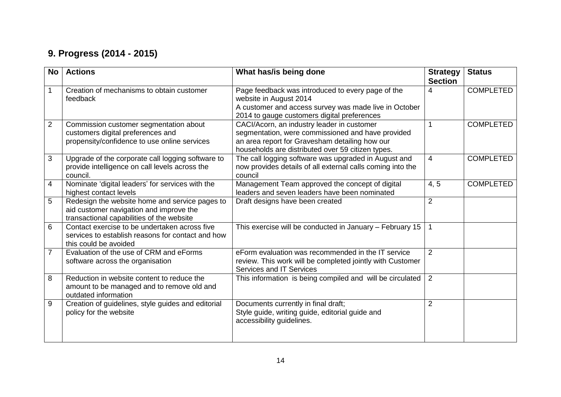### **9. Progress (2014 - 2015)**

| <b>No</b>      | <b>Actions</b>                                                                                                                         | What has/is being done                                                                                                                                                                                 | <b>Strategy</b><br><b>Section</b> | <b>Status</b>    |
|----------------|----------------------------------------------------------------------------------------------------------------------------------------|--------------------------------------------------------------------------------------------------------------------------------------------------------------------------------------------------------|-----------------------------------|------------------|
| $\mathbf 1$    | Creation of mechanisms to obtain customer<br>feedback                                                                                  | Page feedback was introduced to every page of the<br>website in August 2014<br>A customer and access survey was made live in October<br>2014 to gauge customers digital preferences                    | 4                                 | <b>COMPLETED</b> |
| $\overline{2}$ | Commission customer segmentation about<br>customers digital preferences and<br>propensity/confidence to use online services            | CACI/Acorn, an industry leader in customer<br>segmentation, were commissioned and have provided<br>an area report for Gravesham detailing how our<br>households are distributed over 59 citizen types. |                                   | <b>COMPLETED</b> |
| 3              | Upgrade of the corporate call logging software to<br>provide intelligence on call levels across the<br>council.                        | The call logging software was upgraded in August and<br>now provides details of all external calls coming into the<br>council                                                                          | 4                                 | <b>COMPLETED</b> |
| $\overline{4}$ | Nominate 'digital leaders' for services with the<br>highest contact levels                                                             | Management Team approved the concept of digital<br>leaders and seven leaders have been nominated                                                                                                       | 4, 5                              | <b>COMPLETED</b> |
| 5              | Redesign the website home and service pages to<br>aid customer navigation and improve the<br>transactional capabilities of the website | Draft designs have been created                                                                                                                                                                        | $\overline{2}$                    |                  |
| 6              | Contact exercise to be undertaken across five<br>services to establish reasons for contact and how<br>this could be avoided            | This exercise will be conducted in January - February 15                                                                                                                                               |                                   |                  |
| $\overline{7}$ | Evaluation of the use of CRM and eForms<br>software across the organisation                                                            | eForm evaluation was recommended in the IT service<br>review. This work will be completed jointly with Customer<br>Services and IT Services                                                            | 2                                 |                  |
| 8              | Reduction in website content to reduce the<br>amount to be managed and to remove old and<br>outdated information                       | This information is being compiled and will be circulated                                                                                                                                              | 2                                 |                  |
| 9              | Creation of guidelines, style guides and editorial<br>policy for the website                                                           | Documents currently in final draft;<br>Style guide, writing guide, editorial guide and<br>accessibility guidelines.                                                                                    | $\overline{2}$                    |                  |